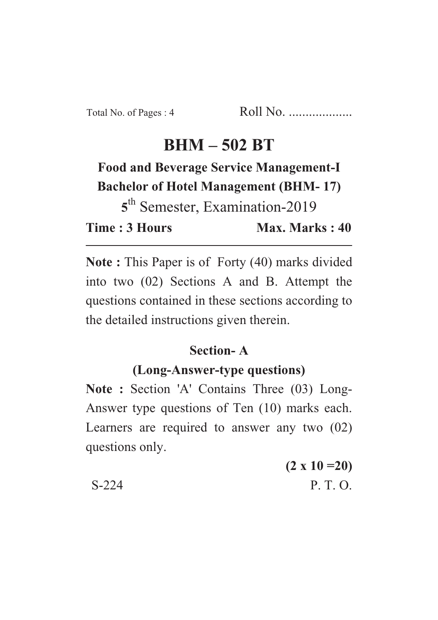# **BHM – 502 BT**

**Food and Beverage Service Management-I Bachelor of Hotel Management (BHM- 17)**

**5** th Semester, Examination-2019

**Time : 3 Hours** Max. Marks : 40

**Note :** This Paper is of Forty (40) marks divided into two (02) Sections A and B. Attempt the questions contained in these sections according to the detailed instructions given therein.

## **Section- A**

## **(Long-Answer-type questions)**

Note : Section 'A' Contains Three (03) Long-Answer type questions of Ten (10) marks each. Learners are required to answer any two (02) questions only.

**(2 x 10 =20)** S-224 P. T. O.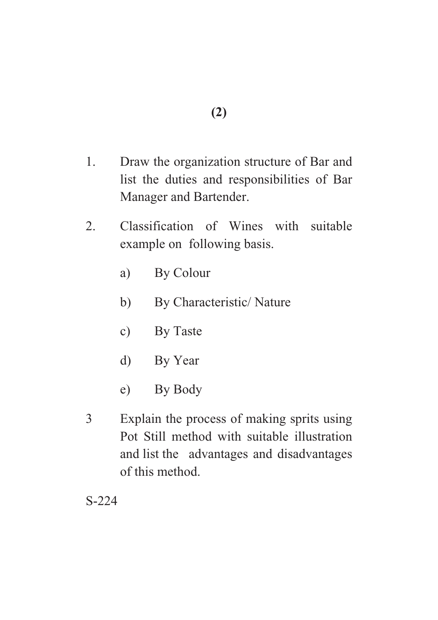- 1. Draw the organization structure of Bar and list the duties and responsibilities of Bar Manager and Bartender.
- 2. Classification of Wines with suitable example on following basis.
	- a) By Colour
	- b) By Characteristic/ Nature
	- c) By Taste
	- d) By Year
	- e) By Body
- 3 Explain the process of making sprits using Pot Still method with suitable illustration and list the advantages and disadvantages of this method.

S-224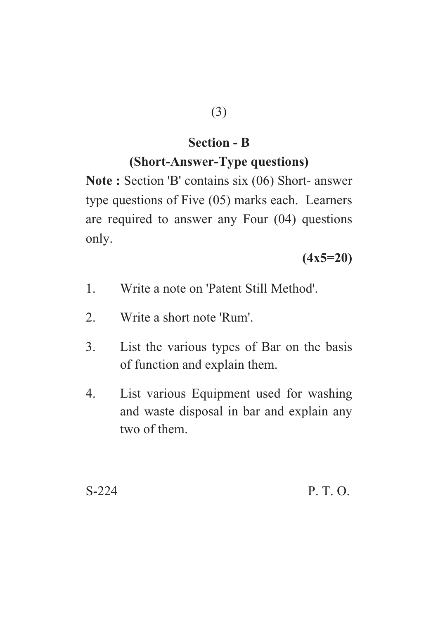### **Section - B**

### **(Short-Answer-Type questions)**

**Note :** Section 'B' contains six (06) Short- answer type questions of Five (05) marks each. Learners are required to answer any Four (04) questions only.

#### **(4x5=20)**

- 1. Write a note on 'Patent Still Method'.
- 2. Write a short note 'Rum'.
- 3. List the various types of Bar on the basis of function and explain them.
- 4. List various Equipment used for washing and waste disposal in bar and explain any two of them.

 $S-224$  P. T. O.